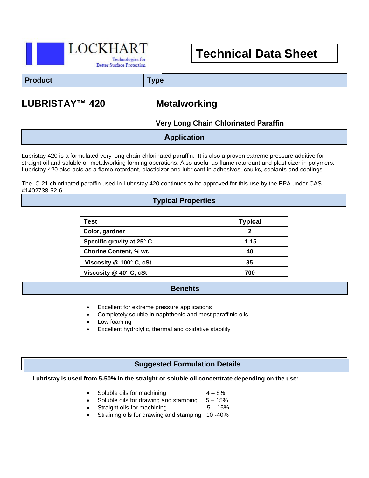

# **Technical Data Sheet**

**Product Type**

## **LUBRISTAY™ 420 Metalworking**

**Very Long Chain Chlorinated Paraffin**

**Application**

Lubristay 420 is a formulated very long chain chlorinated paraffin. It is also a proven extreme pressure additive for straight oil and soluble oil metalworking forming operations. Also useful as flame retardant and plasticizer in polymers. Lubristay 420 also acts as a flame retardant, plasticizer and lubricant in adhesives, caulks, sealants and coatings

The C-21 chlorinated paraffin used in Lubristay 420 continues to be approved for this use by the EPA under CAS #1402738-52-6

#### **Typical Properties**

| Test                          | <b>Typical</b> |
|-------------------------------|----------------|
| Color, gardner                | 2              |
| Specific gravity at 25° C     | 1.15           |
| <b>Chorine Content, % wt.</b> | 40             |
| Viscosity @ 100° C, cSt       | 35             |
| Viscosity @ 40° C, cSt        | 700            |
|                               |                |

#### **Benefits**

- Excellent for extreme pressure applications
- Completely soluble in naphthenic and most paraffinic oils
- Low foaming
- Excellent hydrolytic, thermal and oxidative stability

#### **Suggested Formulation Details**

#### **Lubristay is used from 5-50% in the straight or soluble oil concentrate depending on the use:**

- Soluble oils for machining  $4 8\%$
- Soluble oils for drawing and stamping  $5 15%$ 
	- Straight oils for machining  $5 15%$
- Straining oils for drawing and stamping 10 -40%